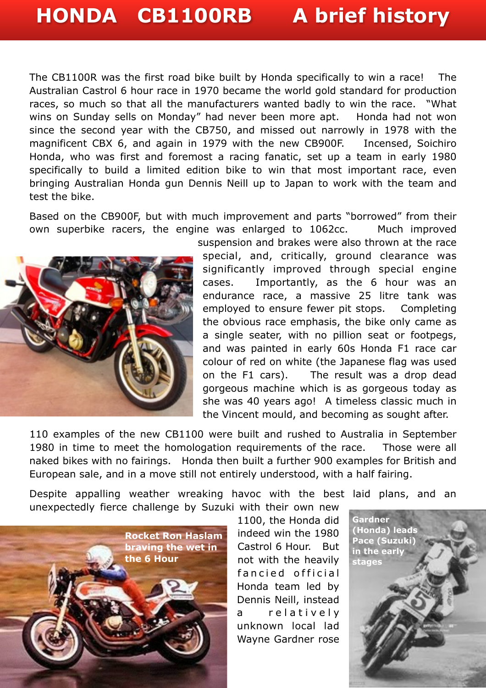## **HONDA CB1100RB A brief history**

The CB1100R was the first road bike built by Honda specifically to win a race! The Australian Castrol 6 hour race in 1970 became the world gold standard for production races, so much so that all the manufacturers wanted badly to win the race. "What wins on Sunday sells on Monday" had never been more apt. Honda had not won since the second year with the CB750, and missed out narrowly in 1978 with the magnificent CBX 6, and again in 1979 with the new CB900F. Incensed, Soichiro Honda, who was first and foremost a racing fanatic, set up a team in early 1980 specifically to build a limited edition bike to win that most important race, even bringing Australian Honda gun Dennis Neill up to Japan to work with the team and test the bike.

Based on the CB900F, but with much improvement and parts "borrowed" from their own superbike racers, the engine was enlarged to 1062cc. Much improved



suspension and brakes were also thrown at the race special, and, critically, ground clearance was significantly improved through special engine cases. Importantly, as the 6 hour was an endurance race, a massive 25 litre tank was employed to ensure fewer pit stops. Completing the obvious race emphasis, the bike only came as a single seater, with no pillion seat or footpegs, and was painted in early 60s Honda F1 race car colour of red on white (the Japanese flag was used on the F1 cars). The result was a drop dead gorgeous machine which is as gorgeous today as she was 40 years ago! A timeless classic much in the Vincent mould, and becoming as sought after.

110 examples of the new CB1100 were built and rushed to Australia in September 1980 in time to meet the homologation requirements of the race. Those were all naked bikes with no fairings. Honda then built a further 900 examples for British and European sale, and in a move still not entirely understood, with a half fairing.

Despite appalling weather wreaking havoc with the best laid plans, and an unexpectedly fierce challenge by Suzuki with their own new



1100, the Honda did indeed win the 1980 Castrol 6 Hour. But not with the heavily fancied official Honda team led by Dennis Neill, instead a relatively unknown local lad Wayne Gardner rose